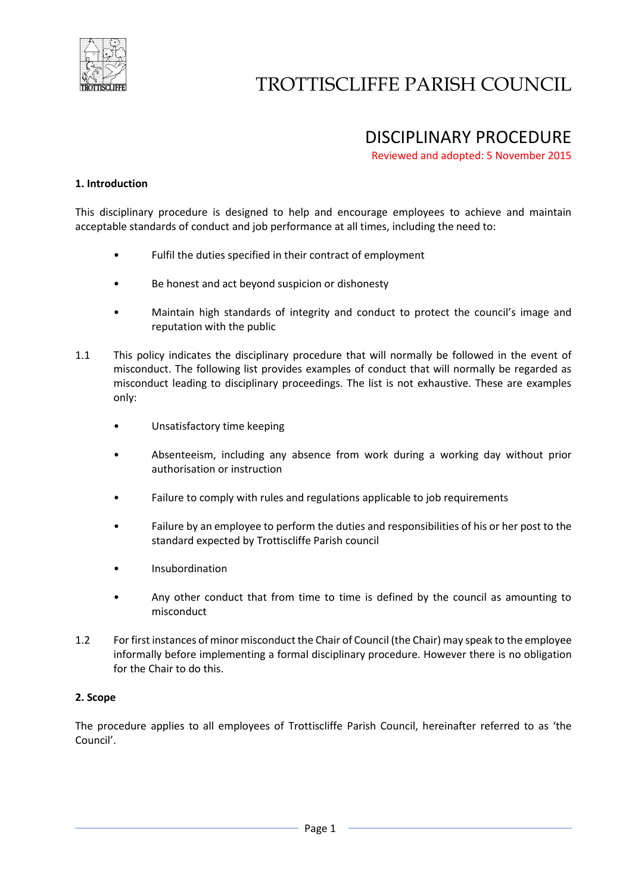

# TROTTISCLIFFE PARISH COUNCIL

### DISCIPLINARY PROCEDURE

Reviewed and adopted: 5 November 2015

#### **1. Introduction**

This disciplinary procedure is designed to help and encourage employees to achieve and maintain acceptable standards of conduct and job performance at all times, including the need to:

- Fulfil the duties specified in their contract of employment
- Be honest and act beyond suspicion or dishonesty
- Maintain high standards of integrity and conduct to protect the council's image and reputation with the public
- 1.1 This policy indicates the disciplinary procedure that will normally be followed in the event of misconduct. The following list provides examples of conduct that will normally be regarded as misconduct leading to disciplinary proceedings. The list is not exhaustive. These are examples only:
	- Unsatisfactory time keeping
	- Absenteeism, including any absence from work during a working day without prior authorisation or instruction
	- Failure to comply with rules and regulations applicable to job requirements
	- Failure by an employee to perform the duties and responsibilities of his or her post to the standard expected by Trottiscliffe Parish council
	- Insubordination
	- Any other conduct that from time to time is defined by the council as amounting to misconduct
- 1.2 For first instances of minor misconduct the Chair of Council (the Chair) may speak to the employee informally before implementing a formal disciplinary procedure. However there is no obligation for the Chair to do this.

#### **2. Scope**

The procedure applies to all employees of Trottiscliffe Parish Council, hereinafter referred to as 'the Council'.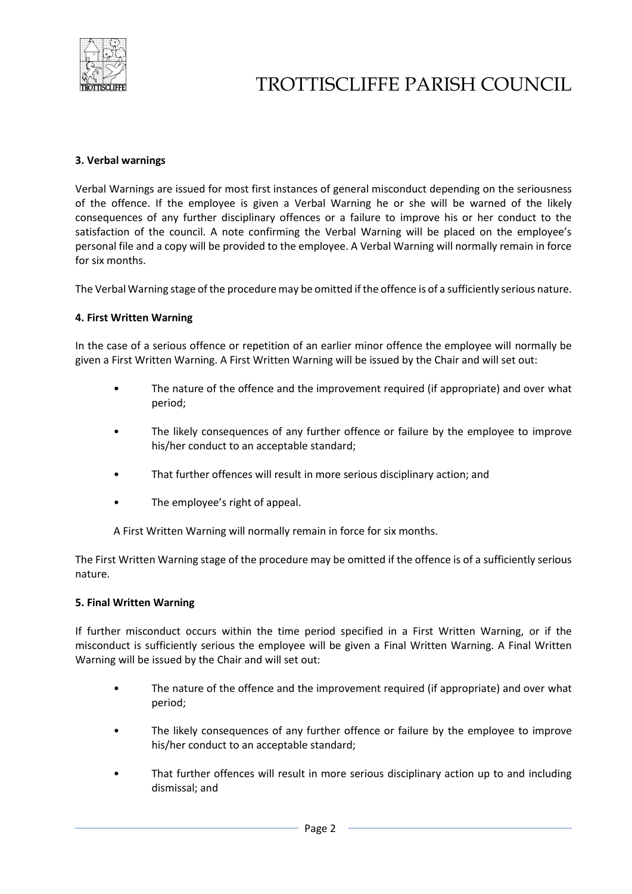

## TROTTISCLIFFE PARISH COUNCIL

#### **3. Verbal warnings**

Verbal Warnings are issued for most first instances of general misconduct depending on the seriousness of the offence. If the employee is given a Verbal Warning he or she will be warned of the likely consequences of any further disciplinary offences or a failure to improve his or her conduct to the satisfaction of the council. A note confirming the Verbal Warning will be placed on the employee's personal file and a copy will be provided to the employee. A Verbal Warning will normally remain in force for six months.

The Verbal Warning stage of the procedure may be omitted if the offence is of a sufficiently serious nature.

#### **4. First Written Warning**

In the case of a serious offence or repetition of an earlier minor offence the employee will normally be given a First Written Warning. A First Written Warning will be issued by the Chair and will set out:

- The nature of the offence and the improvement required (if appropriate) and over what period;
- The likely consequences of any further offence or failure by the employee to improve his/her conduct to an acceptable standard;
- That further offences will result in more serious disciplinary action; and
- The employee's right of appeal.

A First Written Warning will normally remain in force for six months.

The First Written Warning stage of the procedure may be omitted if the offence is of a sufficiently serious nature.

#### **5. Final Written Warning**

If further misconduct occurs within the time period specified in a First Written Warning, or if the misconduct is sufficiently serious the employee will be given a Final Written Warning. A Final Written Warning will be issued by the Chair and will set out:

- The nature of the offence and the improvement required (if appropriate) and over what period;
- The likely consequences of any further offence or failure by the employee to improve his/her conduct to an acceptable standard;
- That further offences will result in more serious disciplinary action up to and including dismissal; and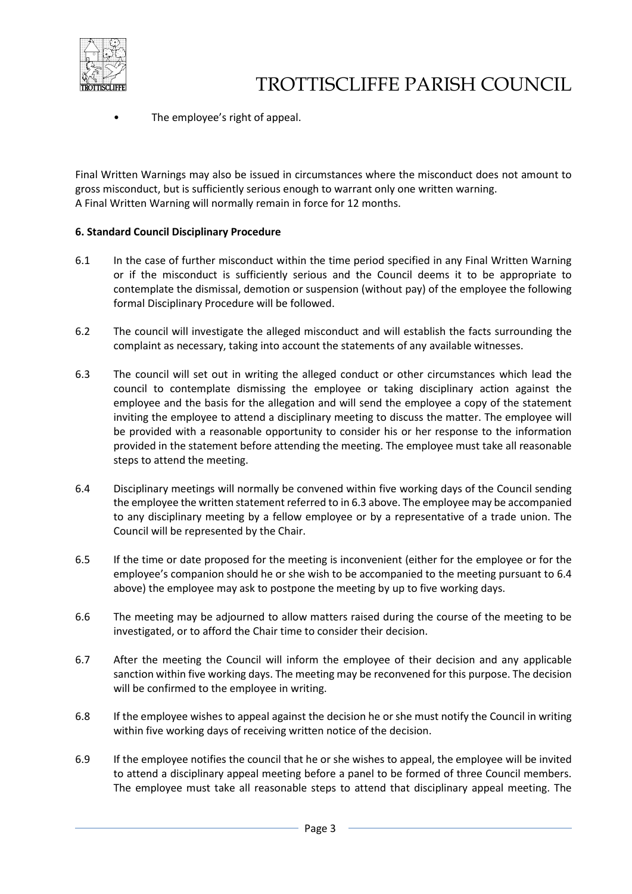

The employee's right of appeal.

Final Written Warnings may also be issued in circumstances where the misconduct does not amount to gross misconduct, but is sufficiently serious enough to warrant only one written warning. A Final Written Warning will normally remain in force for 12 months.

#### **6. Standard Council Disciplinary Procedure**

- 6.1 In the case of further misconduct within the time period specified in any Final Written Warning or if the misconduct is sufficiently serious and the Council deems it to be appropriate to contemplate the dismissal, demotion or suspension (without pay) of the employee the following formal Disciplinary Procedure will be followed.
- 6.2 The council will investigate the alleged misconduct and will establish the facts surrounding the complaint as necessary, taking into account the statements of any available witnesses.
- 6.3 The council will set out in writing the alleged conduct or other circumstances which lead the council to contemplate dismissing the employee or taking disciplinary action against the employee and the basis for the allegation and will send the employee a copy of the statement inviting the employee to attend a disciplinary meeting to discuss the matter. The employee will be provided with a reasonable opportunity to consider his or her response to the information provided in the statement before attending the meeting. The employee must take all reasonable steps to attend the meeting.
- 6.4 Disciplinary meetings will normally be convened within five working days of the Council sending the employee the written statement referred to in 6.3 above. The employee may be accompanied to any disciplinary meeting by a fellow employee or by a representative of a trade union. The Council will be represented by the Chair.
- 6.5 If the time or date proposed for the meeting is inconvenient (either for the employee or for the employee's companion should he or she wish to be accompanied to the meeting pursuant to 6.4 above) the employee may ask to postpone the meeting by up to five working days.
- 6.6 The meeting may be adjourned to allow matters raised during the course of the meeting to be investigated, or to afford the Chair time to consider their decision.
- 6.7 After the meeting the Council will inform the employee of their decision and any applicable sanction within five working days. The meeting may be reconvened for this purpose. The decision will be confirmed to the employee in writing.
- 6.8 If the employee wishes to appeal against the decision he or she must notify the Council in writing within five working days of receiving written notice of the decision.
- 6.9 If the employee notifies the council that he or she wishes to appeal, the employee will be invited to attend a disciplinary appeal meeting before a panel to be formed of three Council members. The employee must take all reasonable steps to attend that disciplinary appeal meeting. The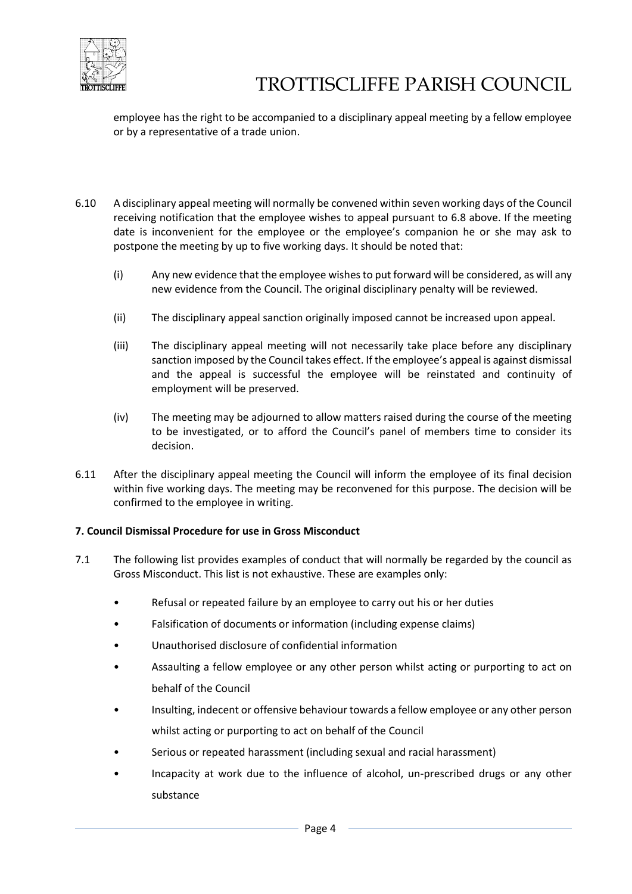

employee has the right to be accompanied to a disciplinary appeal meeting by a fellow employee or by a representative of a trade union.

- 6.10 A disciplinary appeal meeting will normally be convened within seven working days of the Council receiving notification that the employee wishes to appeal pursuant to 6.8 above. If the meeting date is inconvenient for the employee or the employee's companion he or she may ask to postpone the meeting by up to five working days. It should be noted that:
	- (i) Any new evidence that the employee wishes to put forward will be considered, as will any new evidence from the Council. The original disciplinary penalty will be reviewed.
	- (ii) The disciplinary appeal sanction originally imposed cannot be increased upon appeal.
	- (iii) The disciplinary appeal meeting will not necessarily take place before any disciplinary sanction imposed by the Council takes effect. If the employee's appeal is against dismissal and the appeal is successful the employee will be reinstated and continuity of employment will be preserved.
	- (iv) The meeting may be adjourned to allow matters raised during the course of the meeting to be investigated, or to afford the Council's panel of members time to consider its decision.
- 6.11 After the disciplinary appeal meeting the Council will inform the employee of its final decision within five working days. The meeting may be reconvened for this purpose. The decision will be confirmed to the employee in writing.

#### **7. Council Dismissal Procedure for use in Gross Misconduct**

- 7.1 The following list provides examples of conduct that will normally be regarded by the council as Gross Misconduct. This list is not exhaustive. These are examples only:
	- Refusal or repeated failure by an employee to carry out his or her duties
	- Falsification of documents or information (including expense claims)
	- Unauthorised disclosure of confidential information
	- Assaulting a fellow employee or any other person whilst acting or purporting to act on behalf of the Council
	- Insulting, indecent or offensive behaviour towards a fellow employee or any other person whilst acting or purporting to act on behalf of the Council
	- Serious or repeated harassment (including sexual and racial harassment)
	- Incapacity at work due to the influence of alcohol, un-prescribed drugs or any other substance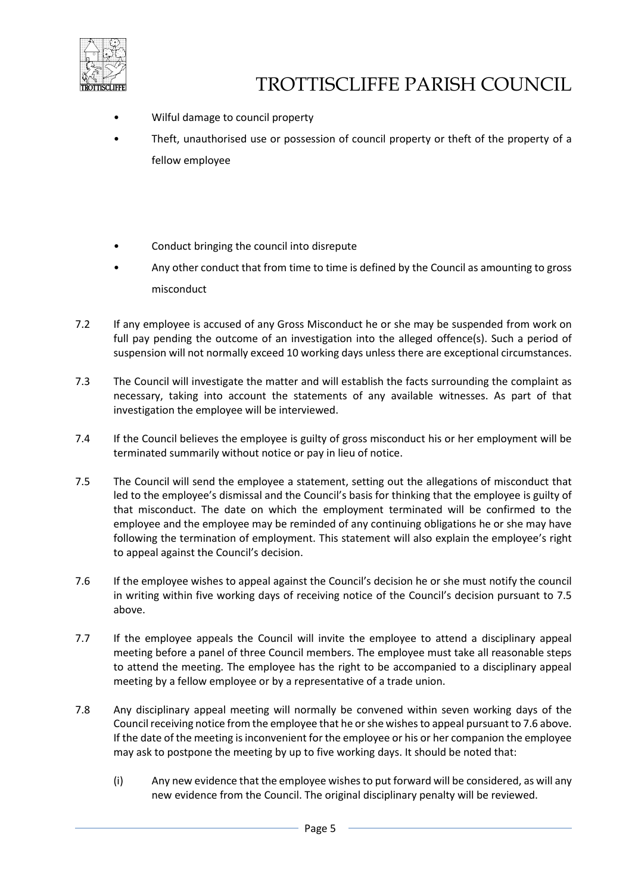

- Wilful damage to council property
- Theft, unauthorised use or possession of council property or theft of the property of a fellow employee
- Conduct bringing the council into disrepute
- Any other conduct that from time to time is defined by the Council as amounting to gross misconduct
- 7.2 If any employee is accused of any Gross Misconduct he or she may be suspended from work on full pay pending the outcome of an investigation into the alleged offence(s). Such a period of suspension will not normally exceed 10 working days unless there are exceptional circumstances.
- 7.3 The Council will investigate the matter and will establish the facts surrounding the complaint as necessary, taking into account the statements of any available witnesses. As part of that investigation the employee will be interviewed.
- 7.4 If the Council believes the employee is guilty of gross misconduct his or her employment will be terminated summarily without notice or pay in lieu of notice.
- 7.5 The Council will send the employee a statement, setting out the allegations of misconduct that led to the employee's dismissal and the Council's basis for thinking that the employee is guilty of that misconduct. The date on which the employment terminated will be confirmed to the employee and the employee may be reminded of any continuing obligations he or she may have following the termination of employment. This statement will also explain the employee's right to appeal against the Council's decision.
- 7.6 If the employee wishes to appeal against the Council's decision he or she must notify the council in writing within five working days of receiving notice of the Council's decision pursuant to 7.5 above.
- 7.7 If the employee appeals the Council will invite the employee to attend a disciplinary appeal meeting before a panel of three Council members. The employee must take all reasonable steps to attend the meeting. The employee has the right to be accompanied to a disciplinary appeal meeting by a fellow employee or by a representative of a trade union.
- 7.8 Any disciplinary appeal meeting will normally be convened within seven working days of the Council receiving notice from the employee that he or she wishes to appeal pursuant to 7.6 above. If the date of the meeting is inconvenient for the employee or his or her companion the employee may ask to postpone the meeting by up to five working days. It should be noted that:
	- (i) Any new evidence that the employee wishes to put forward will be considered, as will any new evidence from the Council. The original disciplinary penalty will be reviewed.